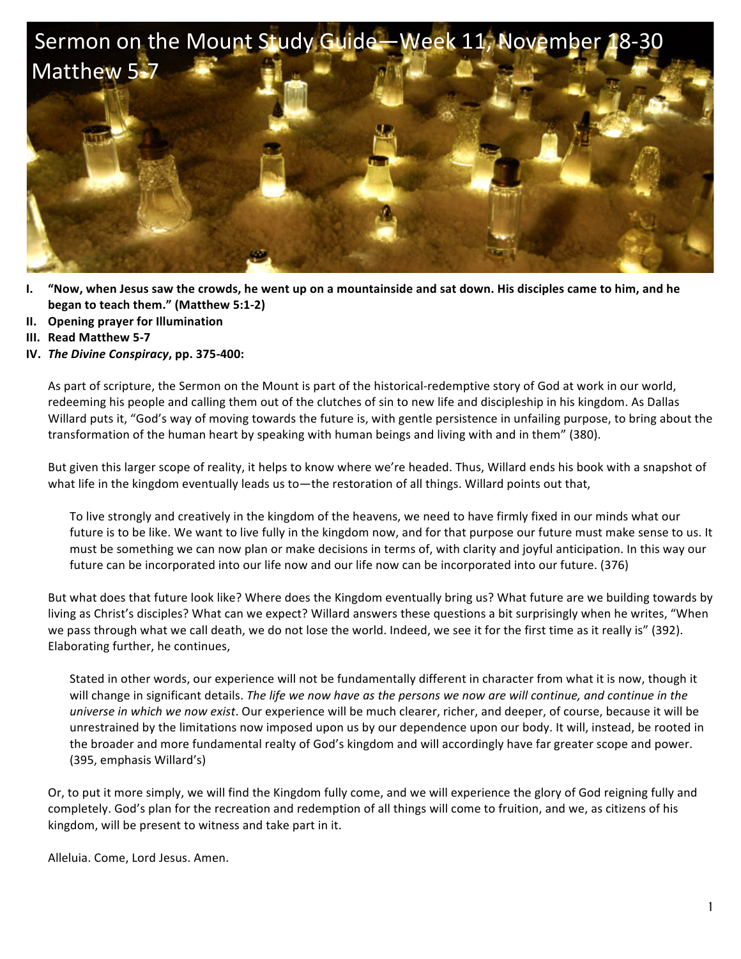

- **I. "Now, when Jesus saw the crowds, he went up on a mountainside and sat down. His disciples came to him, and he began to teach them."** (Matthew 5:1-2)
- **II. Opening prayer for Illumination**
- **III. Read Matthew 5-7**
- **IV.** *The Divine Conspiracy***, pp. 375-400:**

As part of scripture, the Sermon on the Mount is part of the historical-redemptive story of God at work in our world, redeeming his people and calling them out of the clutches of sin to new life and discipleship in his kingdom. As Dallas Willard puts it, "God's way of moving towards the future is, with gentle persistence in unfailing purpose, to bring about the transformation of the human heart by speaking with human beings and living with and in them" (380).

But given this larger scope of reality, it helps to know where we're headed. Thus, Willard ends his book with a snapshot of what life in the kingdom eventually leads us to—the restoration of all things. Willard points out that,

To live strongly and creatively in the kingdom of the heavens, we need to have firmly fixed in our minds what our future is to be like. We want to live fully in the kingdom now, and for that purpose our future must make sense to us. It must be something we can now plan or make decisions in terms of, with clarity and joyful anticipation. In this way our future can be incorporated into our life now and our life now can be incorporated into our future. (376)

But what does that future look like? Where does the Kingdom eventually bring us? What future are we building towards by living as Christ's disciples? What can we expect? Willard answers these questions a bit surprisingly when he writes, "When we pass through what we call death, we do not lose the world. Indeed, we see it for the first time as it really is" (392). Elaborating further, he continues,

Stated in other words, our experience will not be fundamentally different in character from what it is now, though it will change in significant details. The life we now have as the persons we now are will continue, and continue in the *universe in which we now exist*. Our experience will be much clearer, richer, and deeper, of course, because it will be unrestrained by the limitations now imposed upon us by our dependence upon our body. It will, instead, be rooted in the broader and more fundamental realty of God's kingdom and will accordingly have far greater scope and power. (395, emphasis Willard's)

Or, to put it more simply, we will find the Kingdom fully come, and we will experience the glory of God reigning fully and completely. God's plan for the recreation and redemption of all things will come to fruition, and we, as citizens of his kingdom, will be present to witness and take part in it.

Alleluia. Come, Lord Jesus. Amen.